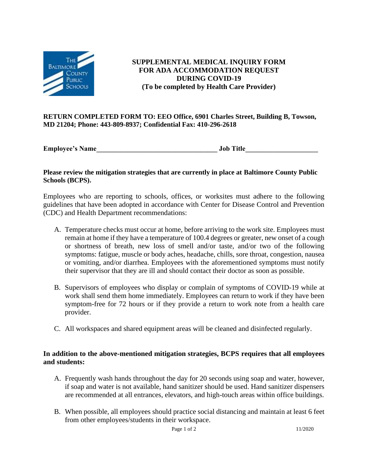

**SUPPLEMENTAL MEDICAL INQUIRY FORM FOR ADA ACCOMMODATION REQUEST DURING COVID-19 (To be completed by Health Care Provider)**

#### **RETURN COMPLETED FORM TO: EEO Office, 6901 Charles Street, Building B, Towson, MD 21204; Phone: 443-809-8937; Confidential Fax: 410-296-2618**

**Employee's Name** 

### **Please review the mitigation strategies that are currently in place at Baltimore County Public Schools (BCPS).**

Employees who are reporting to schools, offices, or worksites must adhere to the following guidelines that have been adopted in accordance with Center for Disease Control and Prevention (CDC) and Health Department recommendations:

- A. Temperature checks must occur at home, before arriving to the work site. Employees must remain at home if they have a temperature of 100.4 degrees or greater, new onset of a cough or shortness of breath, new loss of smell and/or taste, and/or two of the following symptoms: fatigue, muscle or body aches, headache, chills, sore throat, congestion, nausea or vomiting, and/or diarrhea. Employees with the aforementioned symptoms must notify their supervisor that they are ill and should contact their doctor as soon as possible.
- B. Supervisors of employees who display or complain of symptoms of COVID-19 while at work shall send them home immediately. Employees can return to work if they have been symptom-free for 72 hours or if they provide a return to work note from a health care provider.
- C. All workspaces and shared equipment areas will be cleaned and disinfected regularly.

# **In addition to the above-mentioned mitigation strategies, BCPS requires that all employees and students:**

- A. Frequently wash hands throughout the day for 20 seconds using soap and water, however, if soap and water is not available, hand sanitizer should be used. Hand sanitizer dispensers are recommended at all entrances, elevators, and high-touch areas within office buildings.
- B. When possible, all employees should practice social distancing and maintain at least 6 feet from other employees/students in their workspace.